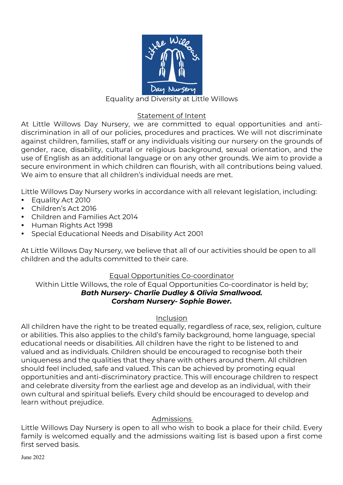

## Equality and Diversity at Little Willows

#### Statement of Intent

At Little Willows Day Nursery, we are committed to equal opportunities and antidiscrimination in all of our policies, procedures and practices. We will not discriminate against children, families, staff or any individuals visiting our nursery on the grounds of gender, race, disability, cultural or religious background, sexual orientation, and the use of English as an additional language or on any other grounds. We aim to provide a secure environment in which children can flourish, with all contributions being valued. We aim to ensure that all children's individual needs are met.

Little Willows Day Nursery works in accordance with all relevant legislation, including:

- Equality Act 2010
- Children's Act 2016
- Children and Families Act 2014
- Human Rights Act 1998
- Special Educational Needs and Disability Act 2001

At Little Willows Day Nursery, we believe that all of our activities should be open to all children and the adults committed to their care.

#### Equal Opportunities Co-coordinator

Within Little Willows, the role of Equal Opportunities Co-coordinator is held by; *Bath Nursery- Charlie Dudley & Olivia Smallwood. Corsham Nursery- Sophie Bower.*

#### Inclusion

All children have the right to be treated equally, regardless of race, sex, religion, culture or abilities. This also applies to the child's family background, home language, special educational needs or disabilities. All children have the right to be listened to and valued and as individuals. Children should be encouraged to recognise both their uniqueness and the qualities that they share with others around them. All children should feel included, safe and valued. This can be achieved by promoting equal opportunities and anti-discriminatory practice. This will encourage children to respect and celebrate diversity from the earliest age and develop as an individual, with their own cultural and spiritual beliefs. Every child should be encouraged to develop and learn without prejudice.

## Admissions

Little Willows Day Nursery is open to all who wish to book a place for their child. Every family is welcomed equally and the admissions waiting list is based upon a first come first served basis.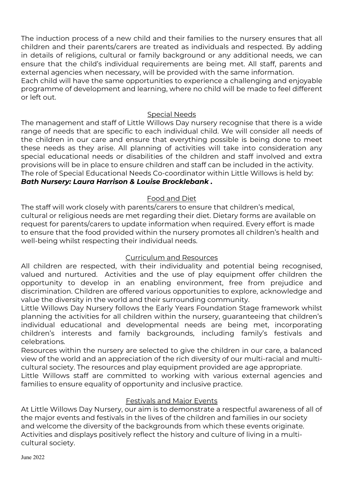The induction process of a new child and their families to the nursery ensures that all children and their parents/carers are treated as individuals and respected. By adding in details of religions, cultural or family background or any additional needs, we can ensure that the child's individual requirements are being met. All staff, parents and external agencies when necessary, will be provided with the same information.

Each child will have the same opportunities to experience a challenging and enjoyable programme of development and learning, where no child will be made to feel different or left out.

## Special Needs

The management and staff of Little Willows Day nursery recognise that there is a wide range of needs that are specific to each individual child. We will consider all needs of the children in our care and ensure that everything possible is being done to meet these needs as they arise. All planning of activities will take into consideration any special educational needs or disabilities of the children and staff involved and extra provisions will be in place to ensure children and staff can be included in the activity. The role of Special Educational Needs Co-coordinator within Little Willows is held by: *Bath Nursery: Laura Harrison & Louise Brocklebank .* 

# Food and Diet

The staff will work closely with parents/carers to ensure that children's medical, cultural or religious needs are met regarding their diet. Dietary forms are available on request for parents/carers to update information when required. Every effort is made to ensure that the food provided within the nursery promotes all children's health and well-being whilst respecting their individual needs.

## Curriculum and Resources

All children are respected, with their individuality and potential being recognised, valued and nurtured. Activities and the use of play equipment offer children the opportunity to develop in an enabling environment, free from prejudice and discrimination. Children are offered various opportunities to explore, acknowledge and value the diversity in the world and their surrounding community.

Little Willows Day Nursery follows the Early Years Foundation Stage framework whilst planning the activities for all children within the nursery, guaranteeing that children's individual educational and developmental needs are being met, incorporating children's interests and family backgrounds, including family's festivals and celebrations.

Resources within the nursery are selected to give the children in our care, a balanced view of the world and an appreciation of the rich diversity of our multi-racial and multicultural society. The resources and play equipment provided are age appropriate.

Little Willows staff are committed to working with various external agencies and families to ensure equality of opportunity and inclusive practice.

## Festivals and Major Events

At Little Willows Day Nursery, our aim is to demonstrate a respectful awareness of all of the major events and festivals in the lives of the children and families in our society and welcome the diversity of the backgrounds from which these events originate. Activities and displays positively reflect the history and culture of living in a multicultural society.